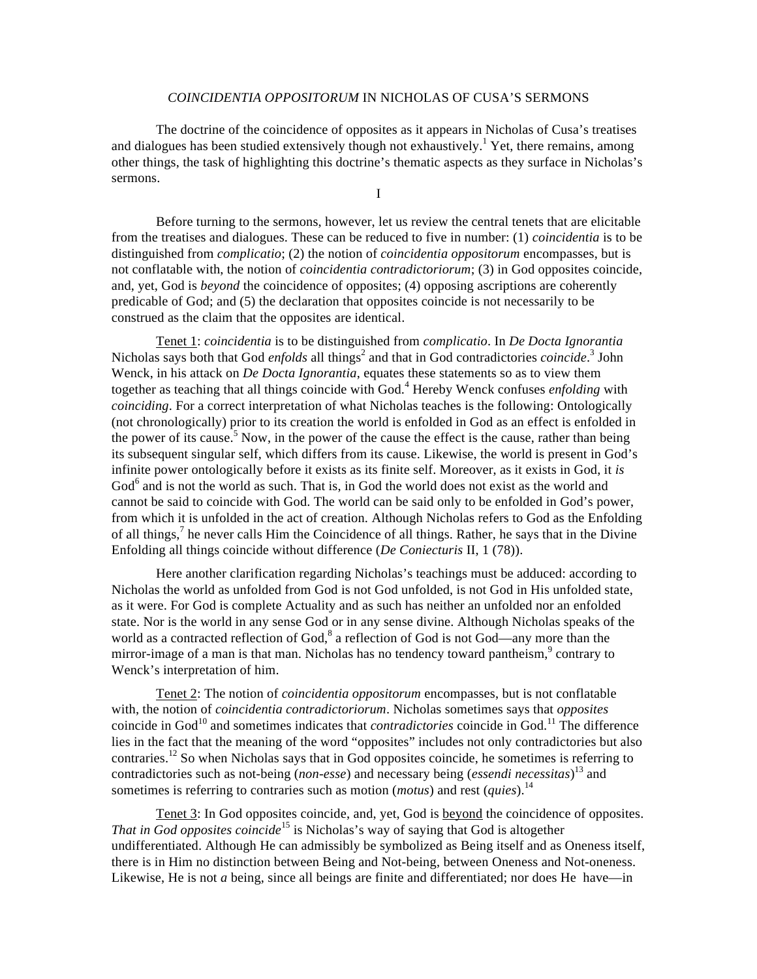## *COINCIDENTIA OPPOSITORUM* IN NICHOLAS OF CUSA'S SERMONS

 The doctrine of the coincidence of opposites as it appears in Nicholas of Cusa's treatises and dialogues has been studied extensively though not exhaustively.<sup>1</sup> Yet, there remains, among other things, the task of highlighting this doctrine's thematic aspects as they surface in Nicholas's sermons.

I

 Before turning to the sermons, however, let us review the central tenets that are elicitable from the treatises and dialogues. These can be reduced to five in number: (1) *coincidentia* is to be distinguished from *complicatio*; (2) the notion of *coincidentia oppositorum* encompasses, but is not conflatable with, the notion of *coincidentia contradictoriorum*; (3) in God opposites coincide, and, yet, God is *beyond* the coincidence of opposites; (4) opposing ascriptions are coherently predicable of God; and (5) the declaration that opposites coincide is not necessarily to be construed as the claim that the opposites are identical.

 Tenet 1: *coincidentia* is to be distinguished from *complicatio*. In *De Docta Ignorantia* Nicholas says both that God *enfolds* all things<sup>2</sup> and that in God contradictories *coincide*.<sup>3</sup> John Wenck, in his attack on *De Docta Ignorantia*, equates these statements so as to view them together as teaching that all things coincide with God.<sup>4</sup> Hereby Wenck confuses *enfolding* with *coinciding*. For a correct interpretation of what Nicholas teaches is the following: Ontologically (not chronologically) prior to its creation the world is enfolded in God as an effect is enfolded in the power of its cause.<sup>5</sup> Now, in the power of the cause the effect is the cause, rather than being its subsequent singular self, which differs from its cause. Likewise, the world is present in God's infinite power ontologically before it exists as its finite self. Moreover, as it exists in God, it *is* God<sup>6</sup> and is not the world as such. That is, in God the world does not exist as the world and cannot be said to coincide with God. The world can be said only to be enfolded in God's power, from which it is unfolded in the act of creation. Although Nicholas refers to God as the Enfolding of all things,<sup>7</sup> he never calls Him the Coincidence of all things. Rather, he says that in the Divine Enfolding all things coincide without difference (*De Coniecturis* II, 1 (78)).

 Here another clarification regarding Nicholas's teachings must be adduced: according to Nicholas the world as unfolded from God is not God unfolded, is not God in His unfolded state, as it were. For God is complete Actuality and as such has neither an unfolded nor an enfolded state. Nor is the world in any sense God or in any sense divine. Although Nicholas speaks of the world as a contracted reflection of God,<sup>8</sup> a reflection of God is not God—any more than the mirror-image of a man is that man. Nicholas has no tendency toward pantheism, $\degree$  contrary to Wenck's interpretation of him.

 Tenet 2: The notion of *coincidentia oppositorum* encompasses, but is not conflatable with, the notion of *coincidentia contradictoriorum*. Nicholas sometimes says that *opposites* coincide in God<sup>10</sup> and sometimes indicates that *contradictories* coincide in God.<sup>11</sup> The difference lies in the fact that the meaning of the word "opposites" includes not only contradictories but also contraries.12 So when Nicholas says that in God opposites coincide, he sometimes is referring to contradictories such as not-being (*non-esse*) and necessary being (*essendi necessitas*) 13 and sometimes is referring to contraries such as motion (*motus*) and rest (*quies*).14

 Tenet 3: In God opposites coincide, and, yet, God is beyond the coincidence of opposites. *That in God opposites coincide*<sup>15</sup> is Nicholas's way of saying that God is altogether undifferentiated. Although He can admissibly be symbolized as Being itself and as Oneness itself, there is in Him no distinction between Being and Not-being, between Oneness and Not-oneness. Likewise, He is not *a* being, since all beings are finite and differentiated; nor does He have—in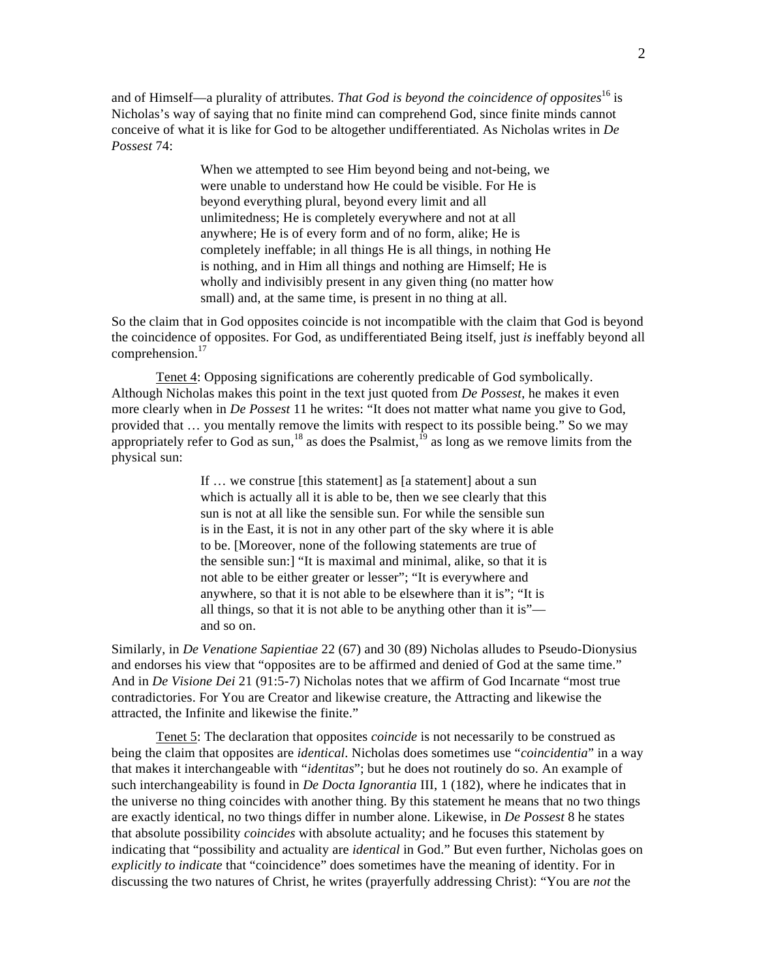and of Himself—a plurality of attributes. *That God is beyond the coincidence of opposites*16 is Nicholas's way of saying that no finite mind can comprehend God, since finite minds cannot conceive of what it is like for God to be altogether undifferentiated. As Nicholas writes in *De Possest* 74:

> When we attempted to see Him beyond being and not-being, we were unable to understand how He could be visible. For He is beyond everything plural, beyond every limit and all unlimitedness; He is completely everywhere and not at all anywhere; He is of every form and of no form, alike; He is completely ineffable; in all things He is all things, in nothing He is nothing, and in Him all things and nothing are Himself; He is wholly and indivisibly present in any given thing (no matter how small) and, at the same time, is present in no thing at all.

So the claim that in God opposites coincide is not incompatible with the claim that God is beyond the coincidence of opposites. For God, as undifferentiated Being itself, just *is* ineffably beyond all comprehension.<sup>17</sup>

 Tenet 4: Opposing significations are coherently predicable of God symbolically. Although Nicholas makes this point in the text just quoted from *De Possest*, he makes it even more clearly when in *De Possest* 11 he writes: "It does not matter what name you give to God, provided that … you mentally remove the limits with respect to its possible being." So we may appropriately refer to God as sun,<sup>18</sup> as does the Psalmist,<sup>19</sup> as long as we remove limits from the physical sun:

> If … we construe [this statement] as [a statement] about a sun which is actually all it is able to be, then we see clearly that this sun is not at all like the sensible sun. For while the sensible sun is in the East, it is not in any other part of the sky where it is able to be. [Moreover, none of the following statements are true of the sensible sun:] "It is maximal and minimal, alike, so that it is not able to be either greater or lesser"; "It is everywhere and anywhere, so that it is not able to be elsewhere than it is"; "It is all things, so that it is not able to be anything other than it is" and so on.

Similarly, in *De Venatione Sapientiae* 22 (67) and 30 (89) Nicholas alludes to Pseudo-Dionysius and endorses his view that "opposites are to be affirmed and denied of God at the same time." And in *De Visione Dei* 21 (91:5-7) Nicholas notes that we affirm of God Incarnate "most true contradictories. For You are Creator and likewise creature, the Attracting and likewise the attracted, the Infinite and likewise the finite."

 Tenet 5: The declaration that opposites *coincide* is not necessarily to be construed as being the claim that opposites are *identical*. Nicholas does sometimes use "*coincidentia*" in a way that makes it interchangeable with "*identitas*"; but he does not routinely do so. An example of such interchangeability is found in *De Docta Ignorantia* III, 1 (182), where he indicates that in the universe no thing coincides with another thing. By this statement he means that no two things are exactly identical, no two things differ in number alone. Likewise, in *De Possest* 8 he states that absolute possibility *coincides* with absolute actuality; and he focuses this statement by indicating that "possibility and actuality are *identical* in God." But even further, Nicholas goes on *explicitly to indicate* that "coincidence" does sometimes have the meaning of identity. For in discussing the two natures of Christ, he writes (prayerfully addressing Christ): "You are *not* the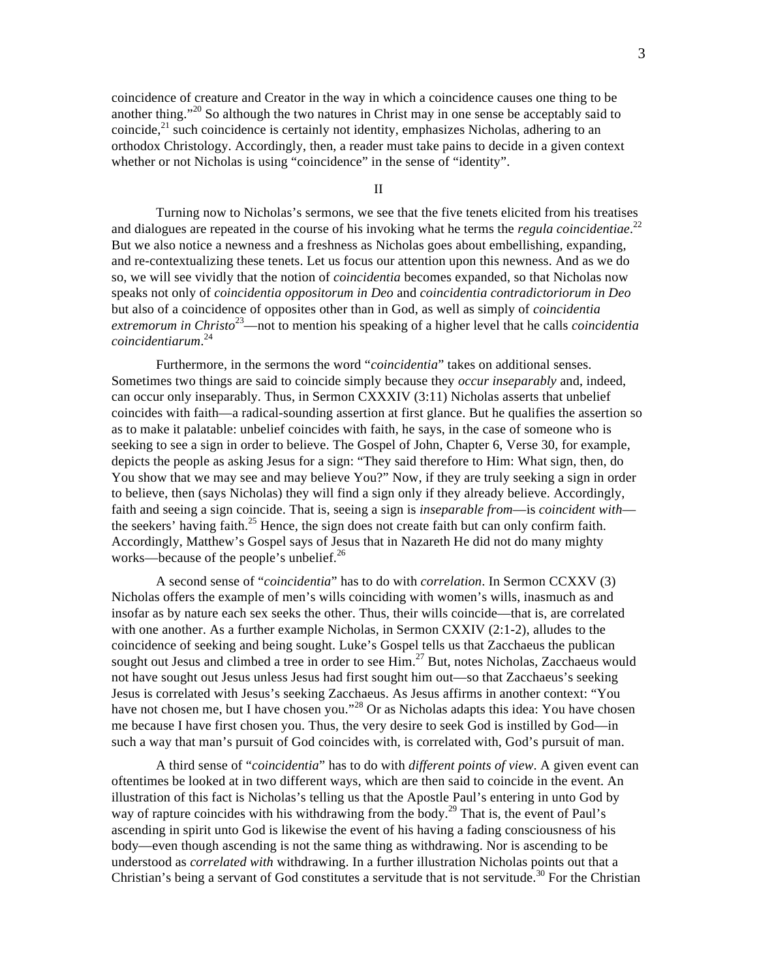coincidence of creature and Creator in the way in which a coincidence causes one thing to be another thing."20 So although the two natures in Christ may in one sense be acceptably said to coincide, $^{21}$  such coincidence is certainly not identity, emphasizes Nicholas, adhering to an orthodox Christology. Accordingly, then, a reader must take pains to decide in a given context whether or not Nicholas is using "coincidence" in the sense of "identity".

II

 Turning now to Nicholas's sermons, we see that the five tenets elicited from his treatises and dialogues are repeated in the course of his invoking what he terms the *regula coincidentiae*.<sup>22</sup> But we also notice a newness and a freshness as Nicholas goes about embellishing, expanding, and re-contextualizing these tenets. Let us focus our attention upon this newness. And as we do so, we will see vividly that the notion of *coincidentia* becomes expanded, so that Nicholas now speaks not only of *coincidentia oppositorum in Deo* and *coincidentia contradictoriorum in Deo* but also of a coincidence of opposites other than in God, as well as simply of *coincidentia extremorum in Christo*23—not to mention his speaking of a higher level that he calls *coincidentia coincidentiarum*. 24

 Furthermore, in the sermons the word "*coincidentia*" takes on additional senses. Sometimes two things are said to coincide simply because they *occur inseparably* and, indeed, can occur only inseparably. Thus, in Sermon CXXXIV (3:11) Nicholas asserts that unbelief coincides with faith—a radical-sounding assertion at first glance. But he qualifies the assertion so as to make it palatable: unbelief coincides with faith, he says, in the case of someone who is seeking to see a sign in order to believe. The Gospel of John, Chapter 6, Verse 30, for example, depicts the people as asking Jesus for a sign: "They said therefore to Him: What sign, then, do You show that we may see and may believe You?" Now, if they are truly seeking a sign in order to believe, then (says Nicholas) they will find a sign only if they already believe. Accordingly, faith and seeing a sign coincide. That is, seeing a sign is *inseparable from*—is *coincident with* the seekers' having faith.<sup>25</sup> Hence, the sign does not create faith but can only confirm faith. Accordingly, Matthew's Gospel says of Jesus that in Nazareth He did not do many mighty works—because of the people's unbelief. $^{26}$ 

 A second sense of "*coincidentia*" has to do with *correlation*. In Sermon CCXXV (3) Nicholas offers the example of men's wills coinciding with women's wills, inasmuch as and insofar as by nature each sex seeks the other. Thus, their wills coincide—that is, are correlated with one another. As a further example Nicholas, in Sermon CXXIV (2:1-2), alludes to the coincidence of seeking and being sought. Luke's Gospel tells us that Zacchaeus the publican sought out Jesus and climbed a tree in order to see Him.<sup>27</sup> But, notes Nicholas, Zacchaeus would not have sought out Jesus unless Jesus had first sought him out—so that Zacchaeus's seeking Jesus is correlated with Jesus's seeking Zacchaeus. As Jesus affirms in another context: "You have not chosen me, but I have chosen you."<sup>28</sup> Or as Nicholas adapts this idea: You have chosen me because I have first chosen you. Thus, the very desire to seek God is instilled by God—in such a way that man's pursuit of God coincides with, is correlated with, God's pursuit of man.

 A third sense of "*coincidentia*" has to do with *different points of view*. A given event can oftentimes be looked at in two different ways, which are then said to coincide in the event. An illustration of this fact is Nicholas's telling us that the Apostle Paul's entering in unto God by way of rapture coincides with his withdrawing from the body.<sup>29</sup> That is, the event of Paul's ascending in spirit unto God is likewise the event of his having a fading consciousness of his body—even though ascending is not the same thing as withdrawing. Nor is ascending to be understood as *correlated with* withdrawing. In a further illustration Nicholas points out that a Christian's being a servant of God constitutes a servitude that is not servitude.<sup>30</sup> For the Christian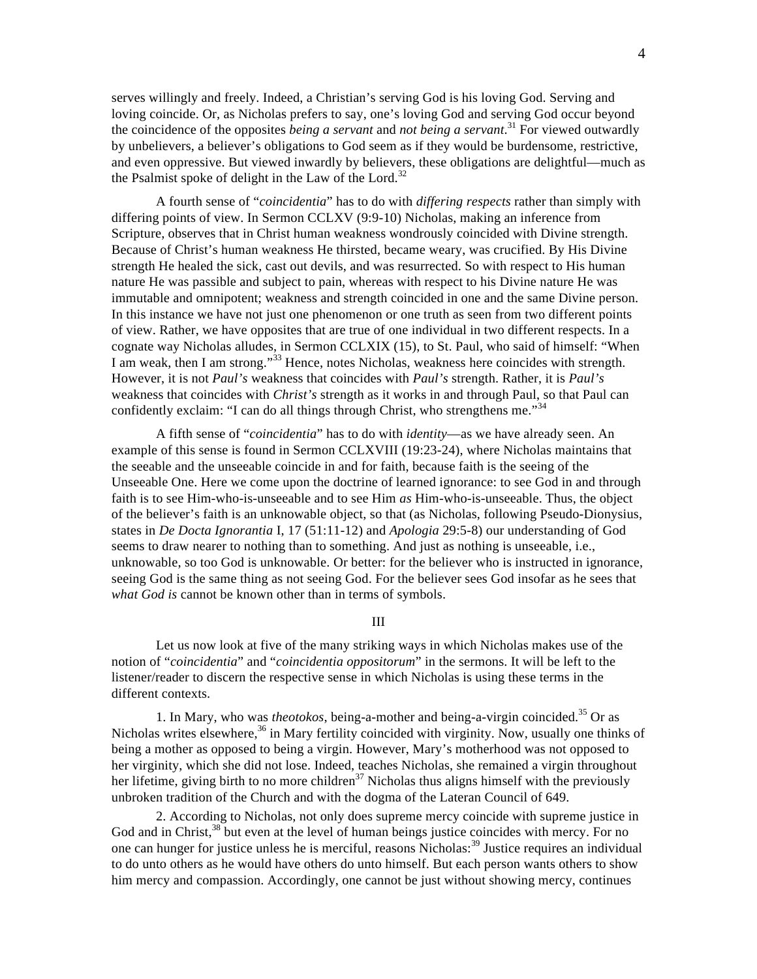serves willingly and freely. Indeed, a Christian's serving God is his loving God. Serving and loving coincide. Or, as Nicholas prefers to say, one's loving God and serving God occur beyond the coincidence of the opposites *being a servant* and *not being a servant*. 31 For viewed outwardly by unbelievers, a believer's obligations to God seem as if they would be burdensome, restrictive, and even oppressive. But viewed inwardly by believers, these obligations are delightful—much as the Psalmist spoke of delight in the Law of the Lord.<sup>32</sup>

 A fourth sense of "*coincidentia*" has to do with *differing respects* rather than simply with differing points of view. In Sermon CCLXV (9:9-10) Nicholas, making an inference from Scripture, observes that in Christ human weakness wondrously coincided with Divine strength. Because of Christ's human weakness He thirsted, became weary, was crucified. By His Divine strength He healed the sick, cast out devils, and was resurrected. So with respect to His human nature He was passible and subject to pain, whereas with respect to his Divine nature He was immutable and omnipotent; weakness and strength coincided in one and the same Divine person. In this instance we have not just one phenomenon or one truth as seen from two different points of view. Rather, we have opposites that are true of one individual in two different respects. In a cognate way Nicholas alludes, in Sermon CCLXIX (15), to St. Paul, who said of himself: "When I am weak, then I am strong."<sup>33</sup> Hence, notes Nicholas, weakness here coincides with strength. However, it is not *Paul's* weakness that coincides with *Paul's* strength. Rather, it is *Paul's* weakness that coincides with *Christ's* strength as it works in and through Paul, so that Paul can confidently exclaim: "I can do all things through Christ, who strengthens me."<sup>34</sup>

 A fifth sense of "*coincidentia*" has to do with *identity*—as we have already seen. An example of this sense is found in Sermon CCLXVIII (19:23-24), where Nicholas maintains that the seeable and the unseeable coincide in and for faith, because faith is the seeing of the Unseeable One. Here we come upon the doctrine of learned ignorance: to see God in and through faith is to see Him-who-is-unseeable and to see Him *as* Him-who-is-unseeable. Thus, the object of the believer's faith is an unknowable object, so that (as Nicholas, following Pseudo-Dionysius, states in *De Docta Ignorantia* I, 17 (51:11-12) and *Apologia* 29:5-8) our understanding of God seems to draw nearer to nothing than to something. And just as nothing is unseeable, i.e., unknowable, so too God is unknowable. Or better: for the believer who is instructed in ignorance, seeing God is the same thing as not seeing God. For the believer sees God insofar as he sees that *what God is* cannot be known other than in terms of symbols.

III

 Let us now look at five of the many striking ways in which Nicholas makes use of the notion of "*coincidentia*" and "*coincidentia oppositorum*" in the sermons. It will be left to the listener/reader to discern the respective sense in which Nicholas is using these terms in the different contexts.

 1. In Mary, who was *theotokos*, being-a-mother and being-a-virgin coincided.35 Or as Nicholas writes elsewhere,<sup>36</sup> in Mary fertility coincided with virginity. Now, usually one thinks of being a mother as opposed to being a virgin. However, Mary's motherhood was not opposed to her virginity, which she did not lose. Indeed, teaches Nicholas, she remained a virgin throughout her lifetime, giving birth to no more children<sup>37</sup> Nicholas thus aligns himself with the previously unbroken tradition of the Church and with the dogma of the Lateran Council of 649.

 2. According to Nicholas, not only does supreme mercy coincide with supreme justice in God and in Christ, <sup>38</sup> but even at the level of human beings justice coincides with mercy. For no one can hunger for justice unless he is merciful, reasons Nicholas:<sup>39</sup> Justice requires an individual to do unto others as he would have others do unto himself. But each person wants others to show him mercy and compassion. Accordingly, one cannot be just without showing mercy, continues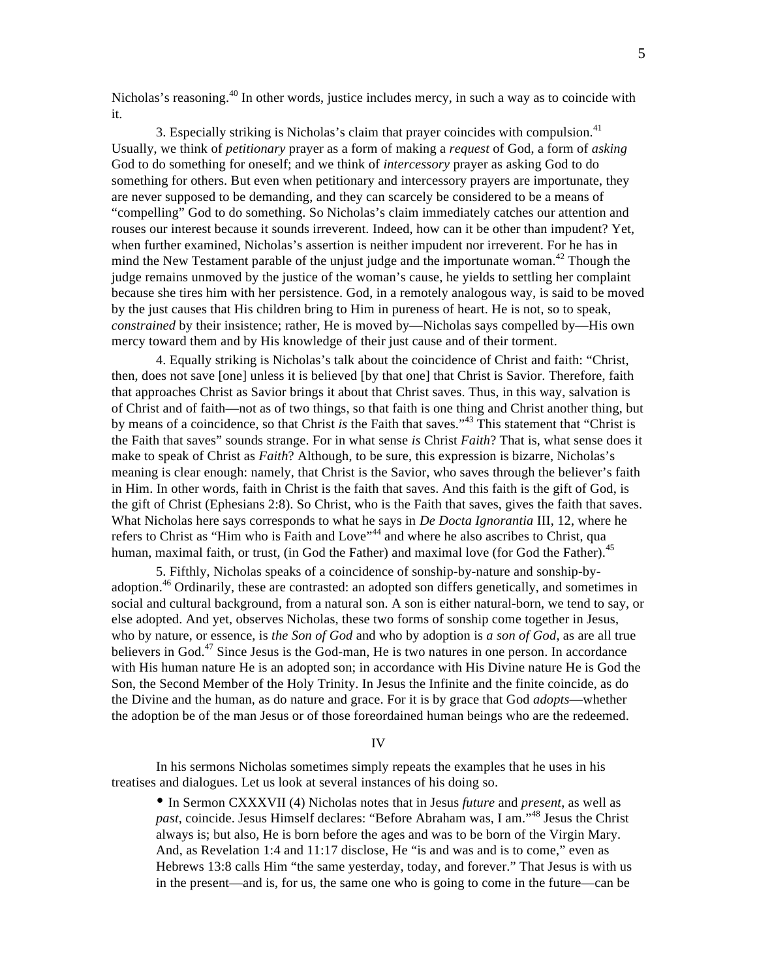Nicholas's reasoning.<sup>40</sup> In other words, justice includes mercy, in such a way as to coincide with it.

3. Especially striking is Nicholas's claim that prayer coincides with compulsion.<sup>41</sup> Usually, we think of *petitionary* prayer as a form of making a *request* of God, a form of *asking* God to do something for oneself; and we think of *intercessory* prayer as asking God to do something for others. But even when petitionary and intercessory prayers are importunate, they are never supposed to be demanding, and they can scarcely be considered to be a means of "compelling" God to do something. So Nicholas's claim immediately catches our attention and rouses our interest because it sounds irreverent. Indeed, how can it be other than impudent? Yet, when further examined, Nicholas's assertion is neither impudent nor irreverent. For he has in mind the New Testament parable of the unjust judge and the importunate woman.<sup>42</sup> Though the judge remains unmoved by the justice of the woman's cause, he yields to settling her complaint because she tires him with her persistence. God, in a remotely analogous way, is said to be moved by the just causes that His children bring to Him in pureness of heart. He is not, so to speak, *constrained* by their insistence; rather, He is moved by—Nicholas says compelled by—His own mercy toward them and by His knowledge of their just cause and of their torment.

 4. Equally striking is Nicholas's talk about the coincidence of Christ and faith: "Christ, then, does not save [one] unless it is believed [by that one] that Christ is Savior. Therefore, faith that approaches Christ as Savior brings it about that Christ saves. Thus, in this way, salvation is of Christ and of faith—not as of two things, so that faith is one thing and Christ another thing, but by means of a coincidence, so that Christ *is* the Faith that saves."43 This statement that "Christ is the Faith that saves" sounds strange. For in what sense *is* Christ *Faith*? That is, what sense does it make to speak of Christ as *Faith*? Although, to be sure, this expression is bizarre, Nicholas's meaning is clear enough: namely, that Christ is the Savior, who saves through the believer's faith in Him. In other words, faith in Christ is the faith that saves. And this faith is the gift of God, is the gift of Christ (Ephesians 2:8). So Christ, who is the Faith that saves, gives the faith that saves. What Nicholas here says corresponds to what he says in *De Docta Ignorantia* III, 12, where he refers to Christ as "Him who is Faith and Love"<sup>44</sup> and where he also ascribes to Christ, qua human, maximal faith, or trust, (in God the Father) and maximal love (for God the Father).<sup>45</sup>

 5. Fifthly, Nicholas speaks of a coincidence of sonship-by-nature and sonship-byadoption.<sup>46</sup> Ordinarily, these are contrasted: an adopted son differs genetically, and sometimes in social and cultural background, from a natural son. A son is either natural-born, we tend to say, or else adopted. And yet, observes Nicholas, these two forms of sonship come together in Jesus, who by nature, or essence, is *the Son of God* and who by adoption is *a son of God*, as are all true believers in God.<sup>47</sup> Since Jesus is the God-man, He is two natures in one person. In accordance with His human nature He is an adopted son; in accordance with His Divine nature He is God the Son, the Second Member of the Holy Trinity. In Jesus the Infinite and the finite coincide, as do the Divine and the human, as do nature and grace. For it is by grace that God *adopts*—whether the adoption be of the man Jesus or of those foreordained human beings who are the redeemed.

## IV

 In his sermons Nicholas sometimes simply repeats the examples that he uses in his treatises and dialogues. Let us look at several instances of his doing so.

• In Sermon CXXXVII (4) Nicholas notes that in Jesus *future* and *present*, as well as *past*, coincide. Jesus Himself declares: "Before Abraham was, I am."48 Jesus the Christ always is; but also, He is born before the ages and was to be born of the Virgin Mary. And, as Revelation 1:4 and 11:17 disclose, He "is and was and is to come," even as Hebrews 13:8 calls Him "the same yesterday, today, and forever." That Jesus is with us in the present—and is, for us, the same one who is going to come in the future—can be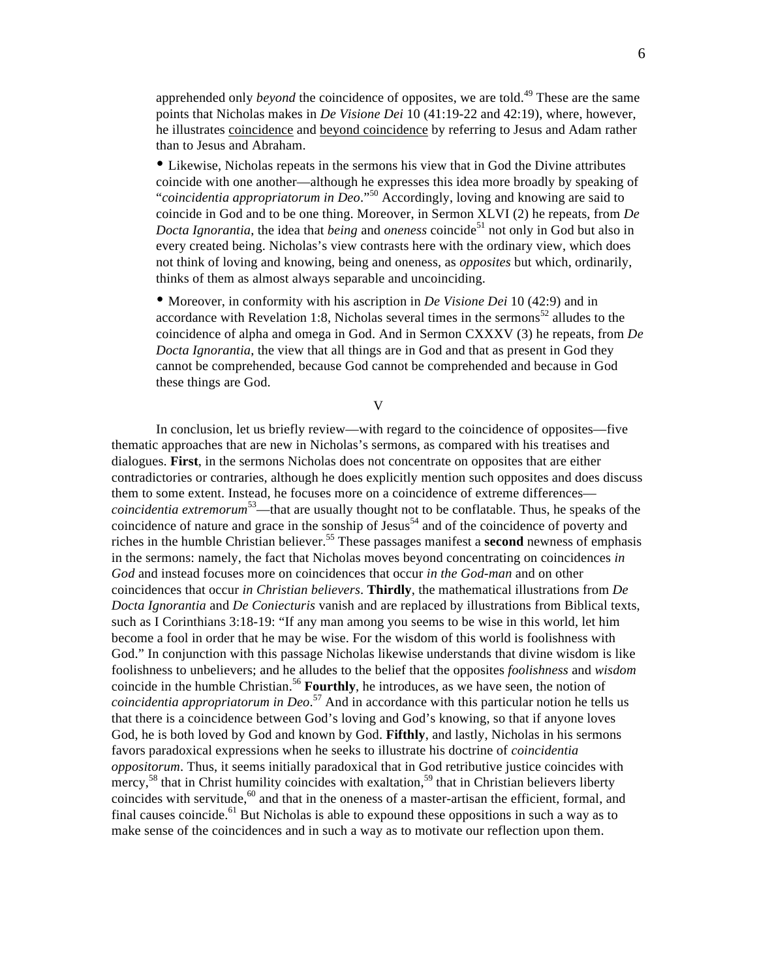apprehended only *beyond* the coincidence of opposites, we are told.<sup>49</sup> These are the same points that Nicholas makes in *De Visione Dei* 10 (41:19-22 and 42:19), where, however, he illustrates coincidence and beyond coincidence by referring to Jesus and Adam rather than to Jesus and Abraham.

• Likewise, Nicholas repeats in the sermons his view that in God the Divine attributes coincide with one another—although he expresses this idea more broadly by speaking of "*coincidentia appropriatorum in Deo*."50 Accordingly, loving and knowing are said to coincide in God and to be one thing. Moreover, in Sermon XLVI (2) he repeats, from *De Docta Ignorantia*, the idea that *being* and *oneness* coincide<sup>51</sup> not only in God but also in every created being. Nicholas's view contrasts here with the ordinary view, which does not think of loving and knowing, being and oneness, as *opposites* but which, ordinarily, thinks of them as almost always separable and uncoinciding.

• Moreover, in conformity with his ascription in *De Visione Dei* 10 (42:9) and in accordance with Revelation 1:8, Nicholas several times in the sermons<sup>52</sup> alludes to the coincidence of alpha and omega in God. And in Sermon CXXXV (3) he repeats, from *De Docta Ignorantia*, the view that all things are in God and that as present in God they cannot be comprehended, because God cannot be comprehended and because in God these things are God.

V

 In conclusion, let us briefly review—with regard to the coincidence of opposites—five thematic approaches that are new in Nicholas's sermons, as compared with his treatises and dialogues. **First**, in the sermons Nicholas does not concentrate on opposites that are either contradictories or contraries, although he does explicitly mention such opposites and does discuss them to some extent. Instead, he focuses more on a coincidence of extreme differences *coincidentia extremorum*53—that are usually thought not to be conflatable. Thus, he speaks of the coincidence of nature and grace in the sonship of Jesus<sup>54</sup> and of the coincidence of poverty and riches in the humble Christian believer.55 These passages manifest a **second** newness of emphasis in the sermons: namely, the fact that Nicholas moves beyond concentrating on coincidences *in God* and instead focuses more on coincidences that occur *in the God-man* and on other coincidences that occur *in Christian believers*. **Thirdly**, the mathematical illustrations from *De Docta Ignorantia* and *De Coniecturis* vanish and are replaced by illustrations from Biblical texts, such as I Corinthians 3:18-19: "If any man among you seems to be wise in this world, let him become a fool in order that he may be wise. For the wisdom of this world is foolishness with God." In conjunction with this passage Nicholas likewise understands that divine wisdom is like foolishness to unbelievers; and he alludes to the belief that the opposites *foolishness* and *wisdom* coincide in the humble Christian.<sup>56</sup> **Fourthly**, he introduces, as we have seen, the notion of *coincidentia appropriatorum in Deo*. 57 And in accordance with this particular notion he tells us that there is a coincidence between God's loving and God's knowing, so that if anyone loves God, he is both loved by God and known by God. **Fifthly**, and lastly, Nicholas in his sermons favors paradoxical expressions when he seeks to illustrate his doctrine of *coincidentia oppositorum*. Thus, it seems initially paradoxical that in God retributive justice coincides with mercy,<sup>58</sup> that in Christ humility coincides with exaltation,<sup>59</sup> that in Christian believers liberty coincides with servitude, $60$  and that in the oneness of a master-artisan the efficient, formal, and final causes coincide.<sup>61</sup> But Nicholas is able to expound these oppositions in such a way as to make sense of the coincidences and in such a way as to motivate our reflection upon them.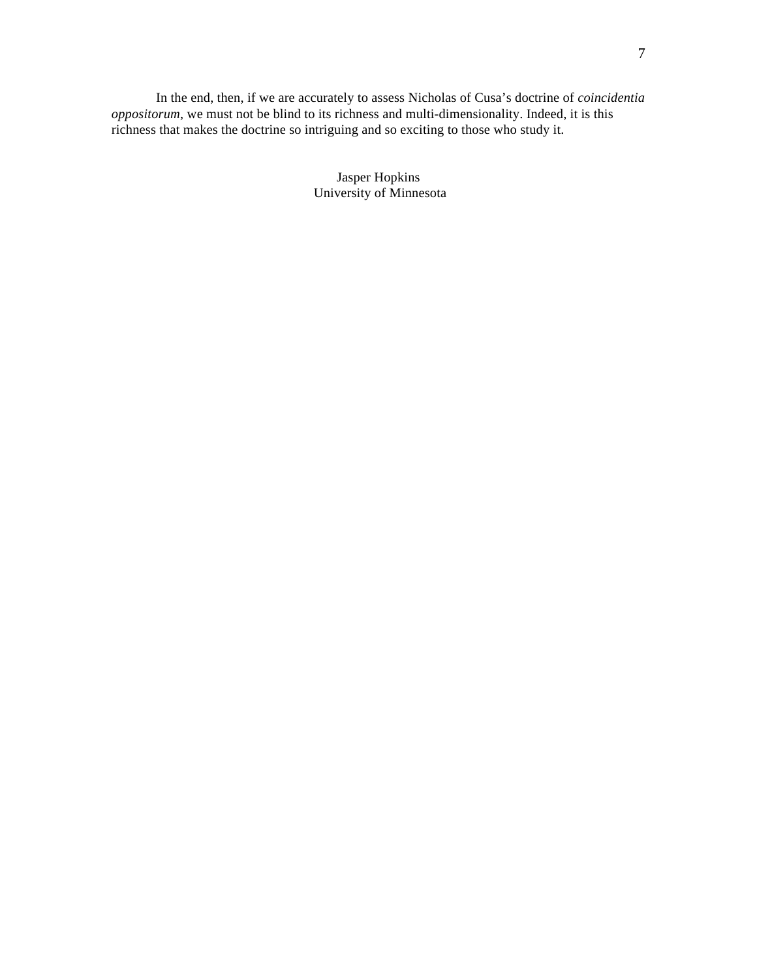In the end, then, if we are accurately to assess Nicholas of Cusa's doctrine of *coincidentia oppositorum*, we must not be blind to its richness and multi-dimensionality. Indeed, it is this richness that makes the doctrine so intriguing and so exciting to those who study it.

> Jasper Hopkins University of Minnesota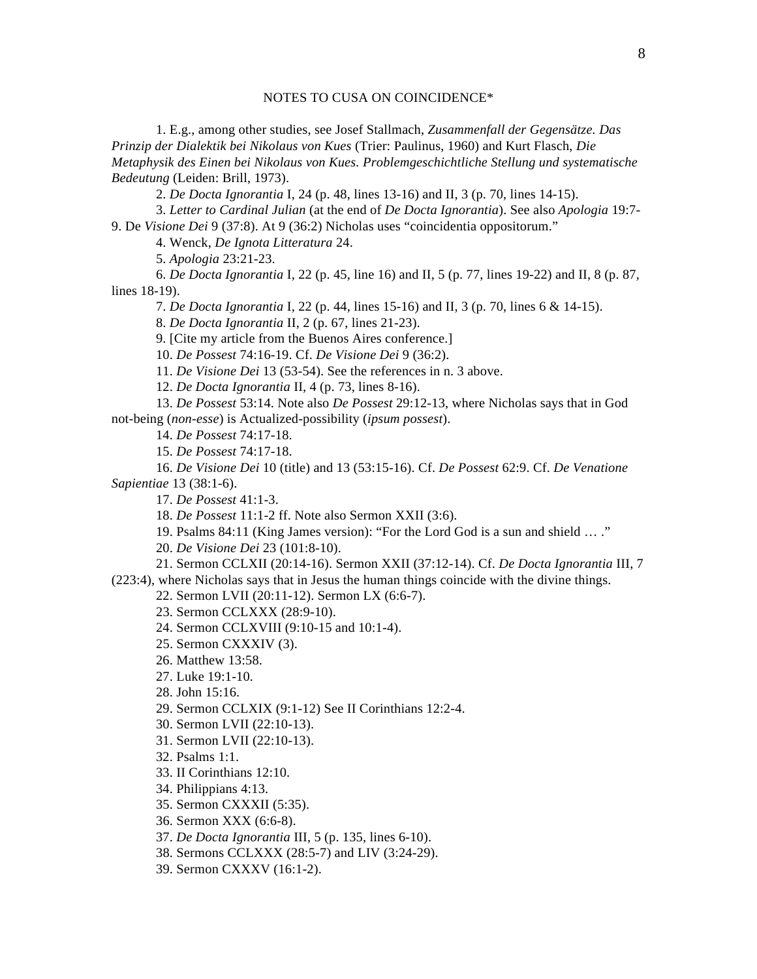## NOTES TO CUSA ON COINCIDENCE\*

 1. E.g., among other studies, see Josef Stallmach, *Zusammenfall der Gegensätze. Das Prinzip der Dialektik bei Nikolaus von Kues* (Trier: Paulinus, 1960) and Kurt Flasch, *Die Metaphysik des Einen bei Nikolaus von Kues. Problemgeschichtliche Stellung und systematische Bedeutung* (Leiden: Brill, 1973).

2. *De Docta Ignorantia* I, 24 (p. 48, lines 13-16) and II, 3 (p. 70, lines 14-15).

 3. *Letter to Cardinal Julian* (at the end of *De Docta Ignorantia*). See also *Apologia* 19:7- 9. De *Visione Dei* 9 (37:8). At 9 (36:2) Nicholas uses "coincidentia oppositorum."

4. Wenck, *De Ignota Litteratura* 24.

5. *Apologia* 23:21-23.

 6. *De Docta Ignorantia* I, 22 (p. 45, line 16) and II, 5 (p. 77, lines 19-22) and II, 8 (p. 87, lines 18-19).

7. *De Docta Ignorantia* I, 22 (p. 44, lines 15-16) and II, 3 (p. 70, lines 6 & 14-15).

8. *De Docta Ignorantia* II, 2 (p. 67, lines 21-23).

9. [Cite my article from the Buenos Aires conference.]

10. *De Possest* 74:16-19. Cf. *De Visione Dei* 9 (36:2).

11. *De Visione Dei* 13 (53-54). See the references in n. 3 above.

12. *De Docta Ignorantia* II, 4 (p. 73, lines 8-16).

 13. *De Possest* 53:14. Note also *De Possest* 29:12-13, where Nicholas says that in God not-being (*non-esse*) is Actualized-possibility (*ipsum possest*).

14. *De Possest* 74:17-18.

15. *De Possest* 74:17-18.

 16. *De Visione Dei* 10 (title) and 13 (53:15-16). Cf. *De Possest* 62:9. Cf. *De Venatione Sapientiae* 13 (38:1-6).

17. *De Possest* 41:1-3.

18. *De Possest* 11:1-2 ff. Note also Sermon XXII (3:6).

19. Psalms 84:11 (King James version): "For the Lord God is a sun and shield … ."

20. *De Visione Dei* 23 (101:8-10).

21. Sermon CCLXII (20:14-16). Sermon XXII (37:12-14). Cf. *De Docta Ignorantia* III, 7

(223:4), where Nicholas says that in Jesus the human things coincide with the divine things.

22. Sermon LVII (20:11-12). Sermon LX (6:6-7).

23. Sermon CCLXXX (28:9-10).

24. Sermon CCLXVIII (9:10-15 and 10:1-4).

25. Sermon CXXXIV (3).

26. Matthew 13:58.

27. Luke 19:1-10.

28. John 15:16.

29. Sermon CCLXIX (9:1-12) See II Corinthians 12:2-4.

30. Sermon LVII (22:10-13).

31. Sermon LVII (22:10-13).

32. Psalms 1:1.

33. II Corinthians 12:10.

34. Philippians 4:13.

35. Sermon CXXXII (5:35).

36. Sermon XXX (6:6-8).

37. *De Docta Ignorantia* III, 5 (p. 135, lines 6-10).

38. Sermons CCLXXX (28:5-7) and LIV (3:24-29).

39. Sermon CXXXV (16:1-2).